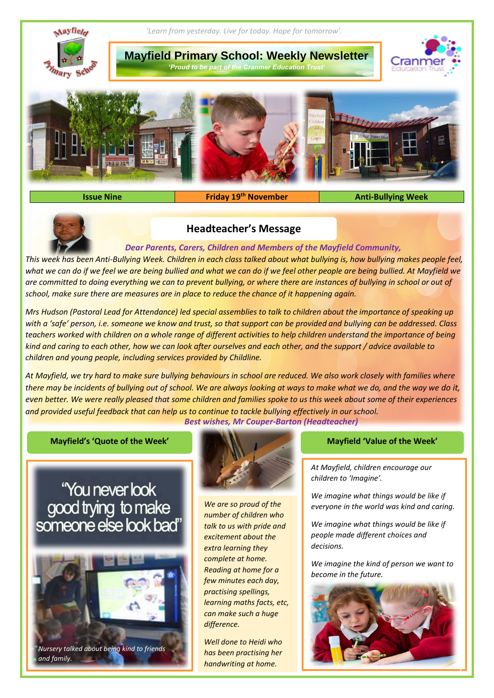

**Issue Nine Friday** 19<sup>th</sup> November

**th November Anti-Bullying Week**



# **Headteacher's Message**

### *Dear Parents, Carers, Children and Members of the Mayfield Community,*

*This week has been Anti-Bullying Week. Children in each class talked about what bullying is, how bullying makes people feel, what we can do if we feel we are being bullied and what we can do if we feel other people are being bullied. At Mayfield we are committed to doing everything we can to prevent bullying, or where there are instances of bullying in school or out of school, make sure there are measures are in place to reduce the chance of it happening again.*

*Mrs Hudson (Pastoral Lead for Attendance) led special assemblies to talk to children about the importance of speaking up with a 'safe' person, i.e. someone we know and trust, so that support can be provided and bullying can be addressed. Class teachers worked with children on a whole range of different activities to help children understand the importance of being kind and caring to each other, how we can look after ourselves and each other, and the support / advice available to children and young people, including services provided by Childline.*

*At Mayfield, we try hard to make sure bullying behaviours in school are reduced. We also work closely with families where there may be incidents of bullying out of school. We are always looking at ways to make what we do, and the way we do it, even better. We were really pleased that some children and families spoke to us this week about some of their experiences and provided useful feedback that can help us to continue to tackle bullying effectively in our school. Best wishes, Mr Couper-Barton (Headteacher)*

**Mayfield's 'Quote of the Week' Mayfield 'Value of the Week'**







*We are so proud of the number of children who talk to us with pride and excitement about the extra learning they complete at home. Reading at home for a few minutes each day, practising spellings, learning maths facts, etc, can make such a huge difference.* 

*Well done to Heidi who has been practising her handwriting at home.*

*At Mayfield, children encourage our children to 'Imagine'.*

*We imagine what things would be like if everyone in the world was kind and caring.*

*We imagine what things would be like if people made different choices and decisions.*

*We imagine the kind of person we want to become in the future.*

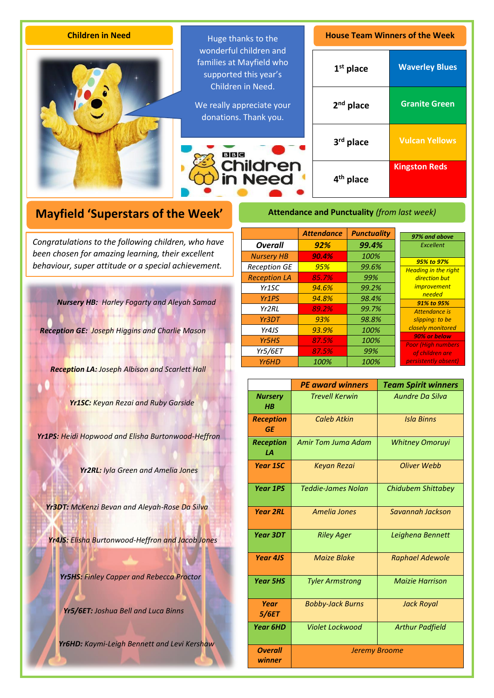| <b>Children in Need</b> | Huge thanks to the<br>wonderful children and<br>families at Mayfield who<br>supported this year's<br>Children in Need.<br>We really appreciate your<br>donations. Thank you.<br>B B C<br><b>Children</b><br>in Need | <b>House Team Winners of the Week</b> |                       |
|-------------------------|---------------------------------------------------------------------------------------------------------------------------------------------------------------------------------------------------------------------|---------------------------------------|-----------------------|
|                         |                                                                                                                                                                                                                     | $1st$ place                           | <b>Waverley Blues</b> |
|                         |                                                                                                                                                                                                                     | $2nd$ place                           | <b>Granite Green</b>  |
|                         |                                                                                                                                                                                                                     | $3rd$ place                           | <b>Vulcan Yellows</b> |
|                         |                                                                                                                                                                                                                     | 4 <sup>th</sup> place                 | <b>Kingston Reds</b>  |

# **Mayfield 'Superstars of the Week'**

A *been chosen for amazing learning, their excellent Congratulations to the following children, who have behaviour, super attitude or a special achievement.*

*Nursery HB: Harley Fogarty and Aleyah Samad*

*Reception GE: Joseph Higgins and Charlie Mason*

*Reception LA: Joseph Albison and Scarlett Hall*

*Yr1SC: Keyan Rezai and Ruby Garside*

*Yr1PS: Heidi Hopwood and Elisha Burtonwood-Heffron*

*Yr2RL: Iyla Green and Amelia Jones*

*Yr3DT: McKenzi Bevan and Aleyah-Rose Da Silva*

*Yr4JS: Elisha Burtonwood-Heffron and Jacob Jones*

*Yr5HS: Finley Capper and Rebecca Proctor*

*Yr5/6ET: Joshua Bell and Luca Binns*

*Yr6HD: Kaymi-Leigh Bennett and Levi Kershaw*

# **Attendance and Punctuality** *(from last week)*

|                     | <b>Attendance</b> | <b>Punctuality</b> | 97% and above                              |
|---------------------|-------------------|--------------------|--------------------------------------------|
| <b>Overall</b>      | 92%               | 99.4%              | Excellent                                  |
| <b>Nursery HB</b>   | 90.4%             | 100%               | 95% to 97%                                 |
| <b>Reception GE</b> | 95%               | 99.6%              | <b>Heading in the right</b>                |
| <b>Reception LA</b> | 85.7%             | 99%                | direction but                              |
| Yr1SC               | 94.6%             | 99.2%              | <i>improvement</i>                         |
| Yr <sub>1</sub> PS  | 94.8%             | 98.4%              | needed<br>91% to 95%                       |
| Yr2RL               | 89.2%             | 99.7%              | Attendance is                              |
| Yr3DT               | 93%               | 98.8%              | slipping: to be                            |
| Yr4JS               | 93.9%             | 100%               | closely monitored                          |
| Yr <sub>5</sub> HS  | 87.5%             | 100%               | 90% or below<br><b>Poor (High numbers)</b> |
| <b>Yr5/6ET</b>      | 87.5%             | 99%                | of children are                            |
| Yr6HD               | 100%              | 100%               | persistently absent)                       |

|                               | <b>PE award winners</b>   | <b>Team Spirit winners</b> |  |
|-------------------------------|---------------------------|----------------------------|--|
| <b>Nursery</b><br><b>HB</b>   | <b>Trevell Kerwin</b>     | Aundre Da Silva            |  |
| <b>Reception</b><br><b>GE</b> | <b>Caleb Atkin</b>        | <b>Isla Binns</b>          |  |
| Reception<br>LА               | Amir Tom Juma Adam        | <b>Whitney Omoruyi</b>     |  |
| <b>Year 1SC</b>               | <b>Keyan Rezai</b>        | Oliver Webb                |  |
| <b>Year 1PS</b>               | <b>Teddie-James Nolan</b> | Chidubem Shittabey         |  |
| <b>Year 2RL</b>               | Amelia Jones              | Savannah Jackson           |  |
| Year 3DT                      | <b>Riley Ager</b>         | Leighena Bennett           |  |
| <b>Year 4JS</b>               | <b>Maize Blake</b>        | <b>Raphael Adewole</b>     |  |
| <b>Year 5HS</b>               | <b>Tyler Armstrong</b>    | <b>Maizie Harrison</b>     |  |
| Year<br>5/6ET                 | <b>Bobby-Jack Burns</b>   | <b>Jack Royal</b>          |  |
| <b>Year 6HD</b>               | <b>Violet Lockwood</b>    | <b>Arthur Padfield</b>     |  |
| <b>Overall</b><br>winner      | <b>Jeremy Broome</b>      |                            |  |